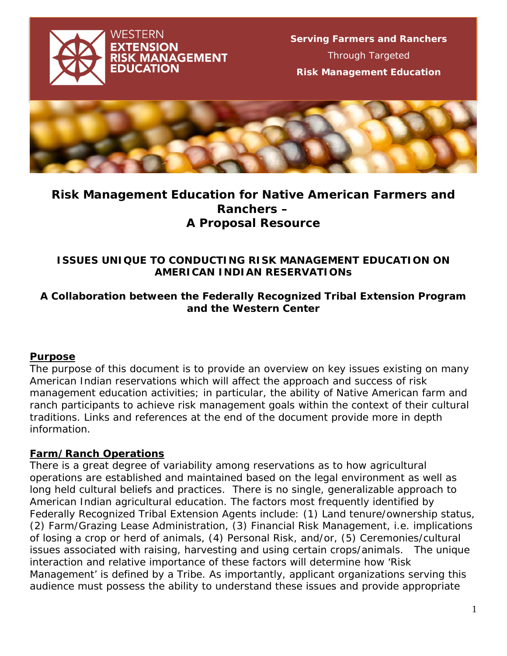



# **Risk Management Education for Native American Farmers and Ranchers – A Proposal Resource**

#### **ISSUES UNIQUE TO CONDUCTING RISK MANAGEMENT EDUCATION ON AMERICAN INDIAN RESERVATIONs**

#### **A Collaboration between the Federally Recognized Tribal Extension Program and the Western Center**

#### **Purpose**

The purpose of this document is to provide an overview on key issues existing on many American Indian reservations which will affect the approach and success of risk management education activities; in particular, the ability of Native American farm and ranch participants to achieve risk management goals within the context of their cultural traditions. Links and references at the end of the document provide more in depth information.

# **Farm/Ranch Operations**

There is a great degree of *variability* among reservations as to how agricultural operations are established and maintained based on the legal environment as well as long held cultural beliefs and practices. There is no single, generalizable approach to American Indian agricultural education. The factors most frequently identified by Federally Recognized Tribal Extension Agents include: (1) Land tenure/ownership status, (2) Farm/Grazing Lease Administration, (3) Financial Risk Management, i.e. implications of losing a crop or herd of animals, (4) Personal Risk, and/or, (5) Ceremonies/cultural issues associated with raising, harvesting and using certain crops/animals. The unique interaction and relative importance of these factors will determine how 'Risk Management' is defined by a Tribe. As importantly, applicant organizations serving this audience must possess the ability to understand these issues and provide appropriate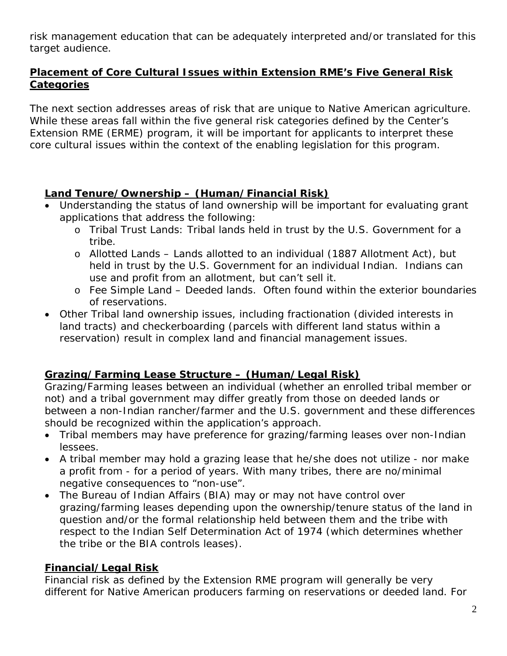risk management education that can be adequately interpreted and/or translated for this target audience.

# **Placement of Core Cultural Issues within Extension RME's Five General Risk Categories**

The next section addresses areas of risk that are unique to Native American agriculture. While these areas fall within the five general risk categories defined by the Center's Extension RME (ERME) program, it will be important for applicants to interpret these core cultural issues within the context of the enabling legislation for this program.

# **Land Tenure/Ownership – (Human/Financial Risk)**

- Understanding the status of land ownership will be important for evaluating grant applications that address the following:
	- o *Tribal Trust Lands*: Tribal lands held in trust by the U.S. Government for a tribe.
	- o *Allotted Lands* Lands allotted to an individual (1887 Allotment Act), but held in trust by the U.S. Government for an individual Indian. Indians can use and profit from an allotment, but can't sell it.
	- o *Fee Simple Land* Deeded lands. Often found within the exterior boundaries of reservations.
- Other Tribal land ownership issues, including fractionation (divided interests in land tracts) and *checkerboarding* (parcels with different land status within a reservation) result in complex land and financial management issues.

# **Grazing/Farming Lease Structure – (Human/Legal Risk)**

*Grazing/Farming leases* between an individual (whether an enrolled tribal member or not) and a tribal government may differ greatly from those on deeded lands or between a non-Indian rancher/farmer and the U.S. government and these differences should be recognized within the application's approach.

- Tribal members may have preference for *grazing/farming leases* over non-Indian lessees.
- A tribal member may hold a grazing lease that he/she does not utilize nor make a profit from - for a period of years. With many tribes, there are no/minimal negative consequences to "non-use".
- The Bureau of Indian Affairs (BIA) may or may not have control over grazing/farming leases depending upon the ownership/tenure status of the land in question and/or the formal relationship held between them and the tribe with respect to the Indian Self Determination Act of 1974 (which determines whether the tribe or the BIA controls leases).

# **Financial/Legal Risk**

Financial risk as defined by the Extension RME program will generally be very different for Native American producers farming on reservations or deeded land. For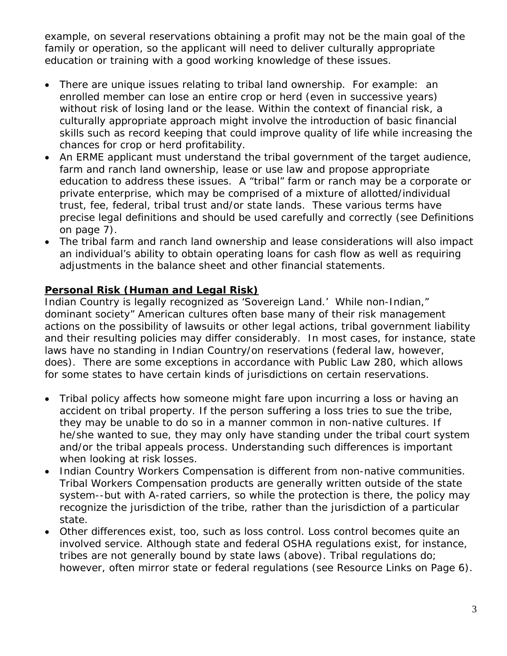example, on several reservations obtaining a profit may not be the main goal of the family or operation, so the applicant will need to deliver culturally appropriate education or training with a good working knowledge of these issues.

- There are unique issues relating to tribal land ownership. For example: an enrolled member can lose an entire crop or herd (even in successive years) without risk of losing land or the lease. Within the context of financial risk, a culturally appropriate approach might involve the introduction of basic financial skills such as record keeping that could improve quality of life while increasing the chances for crop or herd profitability.
- An ERME applicant must understand the tribal government of the target audience, farm and ranch land ownership, lease or use law and propose appropriate education to address these issues. A "tribal" farm or ranch may be a corporate or private enterprise, which may be comprised of a mixture of allotted/individual trust, fee, federal, tribal trust and/or state lands. These various terms have precise legal definitions and should be used carefully and correctly (see Definitions on page 7).
- The tribal farm and ranch land ownership and lease considerations will also impact an individual's ability to obtain operating loans for cash flow as well as requiring adjustments in the balance sheet and other financial statements.

# **Personal Risk (Human and Legal Risk)**

Indian Country is legally recognized as '*Sovereign Land*.' While non-Indian," dominant society" American cultures often base many of their risk management actions on the possibility of lawsuits or other legal actions, tribal government liability and their resulting policies may differ considerably. In most cases, for instance, state laws have no standing in Indian Country/on reservations (federal law, however, does). There are some exceptions in accordance with Public Law 280, which allows for some states to have certain kinds of jurisdictions on certain reservations.

- Tribal policy affects how someone might fare upon incurring a loss or having an accident on tribal property. If the person suffering a loss tries to sue the tribe, they may be unable to do so in a manner common in non-native cultures. If he/she wanted to sue, they may only have standing under the tribal court system and/or the tribal appeals process. Understanding such differences is important when looking at *risk losses*.
- Indian Country *Workers Compensation* is different from non-native communities. Tribal Workers Compensation products are generally written outside of the state system--but with A-rated carriers, so while the protection is there, the policy may recognize the jurisdiction of the tribe, rather than the jurisdiction of a particular state.
- Other differences exist, too, such as *loss control*. Loss control becomes quite an involved service. Although state and federal OSHA regulations exist, for instance, tribes are not generally bound by state laws (above). Tribal regulations do; however, often mirror state or federal regulations (see Resource Links on Page 6).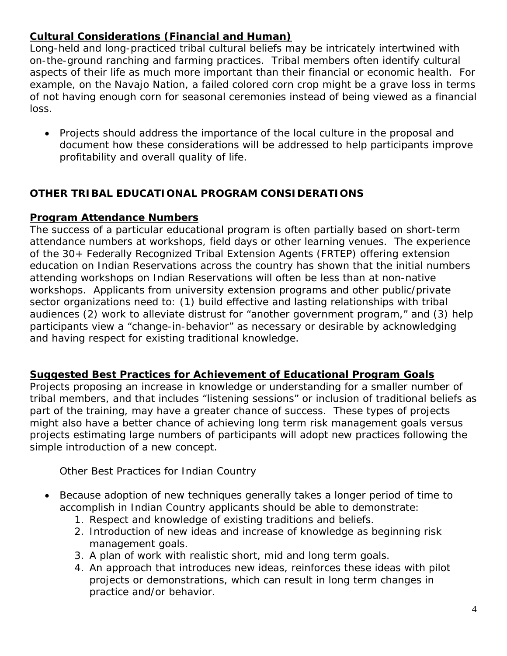# **Cultural Considerations (Financial and Human)**

Long-held and long-practiced tribal cultural beliefs may be intricately intertwined with on-the-ground ranching and farming practices. Tribal members often identify cultural aspects of their life as much more important than their financial or economic health. For example, on the Navajo Nation, a failed colored corn crop might be a grave loss in terms of not having enough corn for seasonal ceremonies instead of being viewed as a financial loss.

• Projects should address the importance of the local culture in the proposal and document how these considerations will be addressed to help participants improve profitability and overall quality of life.

# **OTHER TRIBAL EDUCATIONAL PROGRAM CONSIDERATIONS**

#### **Program Attendance Numbers**

The success of a particular educational program is often partially based on short-term attendance numbers at workshops, field days or other learning venues. The experience of the 30+ Federally Recognized Tribal Extension Agents (FRTEP) offering extension education on Indian Reservations across the country has shown that the initial numbers attending workshops on Indian Reservations will often be less than at non-native workshops. Applicants from university extension programs and other public/private sector organizations need to: (1) build effective and lasting relationships with tribal audiences (2) work to alleviate distrust for "another government program," and (3) help participants view a "change-in-behavior" as necessary or desirable by acknowledging and having respect for existing traditional knowledge.

#### **Suggested Best Practices for Achievement of Educational Program Goals**

Projects proposing an increase in knowledge or understanding for a smaller number of tribal members, and that includes "listening sessions" or inclusion of traditional beliefs as part of the training, may have a greater chance of success. These types of projects might also have a better chance of achieving long term risk management goals versus projects estimating large numbers of participants will adopt new practices following the simple introduction of a new concept.

#### Other Best Practices for Indian Country

- Because adoption of new techniques generally takes a longer period of time to accomplish in Indian Country applicants should be able to demonstrate:
	- 1. Respect and knowledge of existing traditions and beliefs.
	- 2. Introduction of new ideas and increase of knowledge as beginning risk management goals.
	- 3. A plan of work with realistic short, mid and long term goals.
	- 4. An approach that introduces new ideas, reinforces these ideas with pilot projects or demonstrations, which can result in long term changes in practice and/or behavior.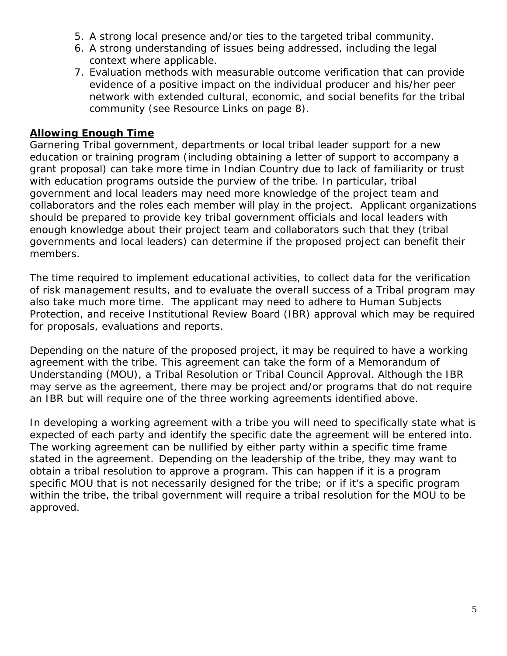- 5. A strong local presence and/or ties to the targeted tribal community.
- 6. A strong understanding of issues being addressed, including the legal context where applicable.
- 7. Evaluation methods with measurable outcome verification that can provide evidence of a positive impact on the individual producer and his/her peer network with extended cultural, economic, and social benefits for the tribal community (see Resource Links on page 8).

### **Allowing Enough Time**

Garnering Tribal government, departments or local tribal leader support for a new education or training program (including obtaining a letter of support to accompany a grant proposal) can take more time in Indian Country due to lack of familiarity or trust with education programs outside the purview of the tribe. In particular, tribal government and local leaders may need more knowledge of the project team and collaborators and the roles each member will play in the project. Applicant organizations should be prepared to provide key tribal government officials and local leaders with enough knowledge about their project team and collaborators such that they (tribal governments and local leaders) can determine if the proposed project can benefit their members.

The time required to implement educational activities, to collect data for the verification of risk management results, and to evaluate the overall success of a Tribal program may also take much more time. The applicant may need to adhere to Human Subjects Protection, and receive Institutional Review Board (IBR) approval which may be required for proposals, evaluations and reports.

Depending on the nature of the proposed project, it may be required to have a working agreement with the tribe. This agreement can take the form of a Memorandum of Understanding (MOU), a Tribal Resolution or Tribal Council Approval. Although the IBR may serve as the agreement, there may be project and/or programs that do not require an IBR but will require one of the three working agreements identified above.

In developing a working agreement with a tribe you will need to specifically state what is expected of each party and identify the specific date the agreement will be entered into. The working agreement can be nullified by either party within a specific time frame stated in the agreement. Depending on the leadership of the tribe, they may want to obtain a tribal resolution to approve a program. This can happen if it is a program specific MOU that is not necessarily designed for the tribe; or if it's a specific program within the tribe, the tribal government will require a tribal resolution for the MOU to be approved.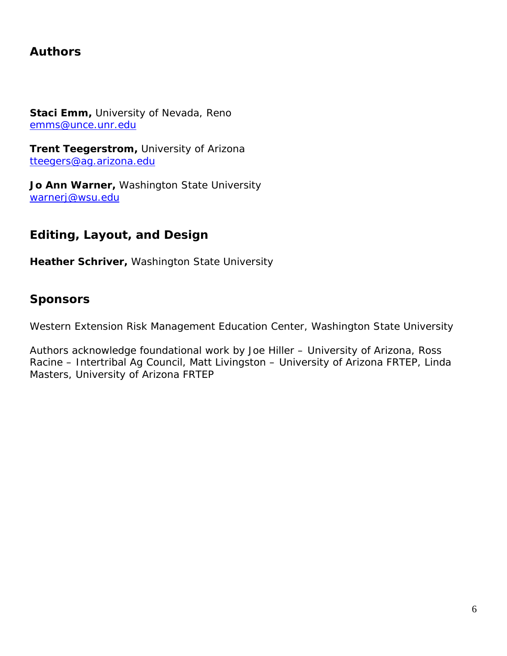# **Authors**

**Staci Emm,** University of Nevada, Reno [emms@unce.unr.edu](mailto:emms@unce.unr.edu)

**Trent Teegerstrom,** University of Arizona [tteegers@ag.arizona.edu](mailto:tteegers@ag.arizona.edu)

**Jo Ann Warner,** Washington State University [warnerj@wsu.edu](mailto:warnerj@wsu.edu)

# **Editing, Layout, and Design**

**Heather Schriver,** Washington State University

# **Sponsors**

Western Extension Risk Management Education Center, Washington State University

*Authors acknowledge foundational work by Joe Hiller – University of Arizona, Ross Racine – Intertribal Ag Council, Matt Livingston – University of Arizona FRTEP, Linda Masters, University of Arizona FRTEP*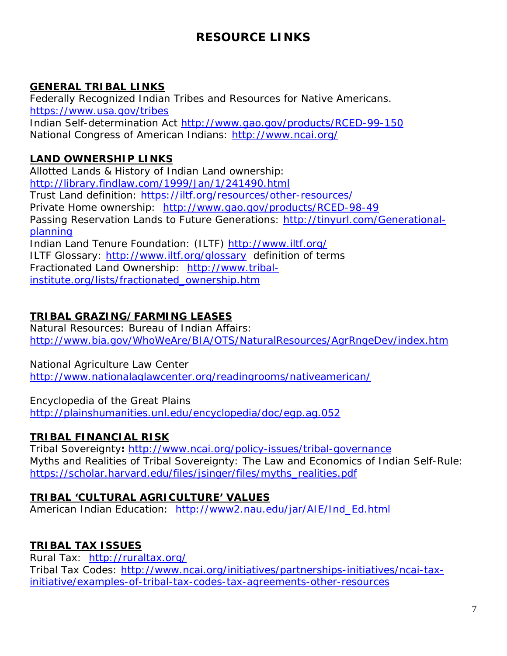# **RESOURCE LINKS**

# **GENERAL TRIBAL LINKS**

Federally Recognized Indian Tribes and Resources for Native Americans. <https://www.usa.gov/tribes> Indian Self-determination Act<http://www.gao.gov/products/RCED-99-150> National Congress of American Indians:<http://www.ncai.org/>

# **LAND OWNERSHIP LINKS**

Allotted Lands & History of Indian Land ownership: <http://library.findlaw.com/1999/Jan/1/241490.html> Trust Land definition:<https://iltf.org/resources/other-resources/> Private Home ownership: <http://www.gao.gov/products/RCED-98-49> Passing Reservation Lands to Future Generations: [http://tinyurl.com/Generational](http://tinyurl.com/Generational-planning)[planning](http://tinyurl.com/Generational-planning) Indian Land Tenure Foundation: (ILTF)<http://www.iltf.org/> ILTF Glossary:<http://www.iltf.org/glossary>definition of terms Fractionated Land Ownership: [http://www.tribal](http://www.tribal-institute.org/lists/fractionated_ownership.htm)[institute.org/lists/fractionated\\_ownership.htm](http://www.tribal-institute.org/lists/fractionated_ownership.htm)

# **TRIBAL GRAZING/FARMING LEASES**

Natural Resources: Bureau of Indian Affairs: <http://www.bia.gov/WhoWeAre/BIA/OTS/NaturalResources/AgrRngeDev/index.htm>

#### National Agriculture Law Center

<http://www.nationalaglawcenter.org/readingrooms/nativeamerican/>

Encyclopedia of the Great Plains

<http://plainshumanities.unl.edu/encyclopedia/doc/egp.ag.052>

# **TRIBAL FINANCIAL RISK**

Tribal Sovereignty**:** <http://www.ncai.org/policy-issues/tribal-governance> Myths and Realities of Tribal Sovereignty: The Law and Economics of Indian Self-Rule: [https://scholar.harvard.edu/files/jsinger/files/myths\\_realities.pdf](https://scholar.harvard.edu/files/jsinger/files/myths_realities.pdf)

# **TRIBAL 'CULTURAL AGRICULTURE' VALUES**

American Indian Education: [http://www2.nau.edu/jar/AIE/Ind\\_Ed.html](http://www2.nau.edu/jar/AIE/Ind_Ed.html)

# **TRIBAL TAX ISSUES**

Rural Tax: <http://ruraltax.org/> Tribal Tax Codes: [http://www.ncai.org/initiatives/partnerships-initiatives/ncai-tax](http://www.ncai.org/initiatives/partnerships-initiatives/ncai-tax-initiative/examples-of-tribal-tax-codes-tax-agreements-other-resources)[initiative/examples-of-tribal-tax-codes-tax-agreements-other-resources](http://www.ncai.org/initiatives/partnerships-initiatives/ncai-tax-initiative/examples-of-tribal-tax-codes-tax-agreements-other-resources)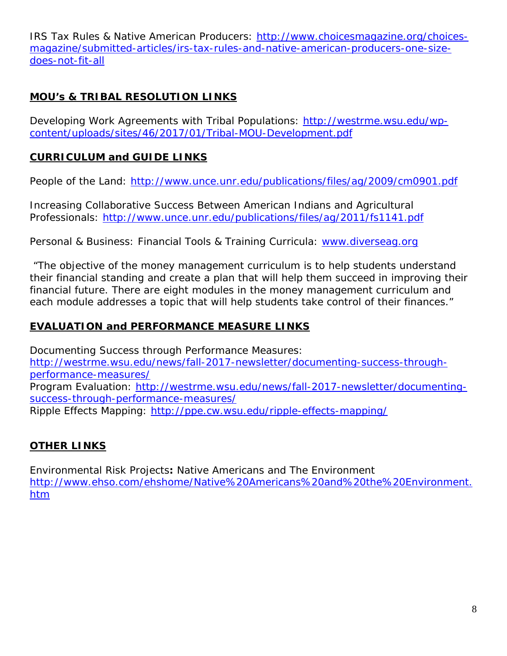IRS Tax Rules & Native American Producers: [http://www.choicesmagazine.org/choices](http://www.choicesmagazine.org/choices-magazine/submitted-articles/irs-tax-rules-and-native-american-producers-one-size-does-not-fit-all)[magazine/submitted-articles/irs-tax-rules-and-native-american-producers-one-size](http://www.choicesmagazine.org/choices-magazine/submitted-articles/irs-tax-rules-and-native-american-producers-one-size-does-not-fit-all)[does-not-fit-all](http://www.choicesmagazine.org/choices-magazine/submitted-articles/irs-tax-rules-and-native-american-producers-one-size-does-not-fit-all)

# **MOU's & TRIBAL RESOLUTION LINKS**

Developing Work Agreements with Tribal Populations: [http://westrme.wsu.edu/wp](http://westrme.wsu.edu/wp-content/uploads/sites/46/2017/01/Tribal-MOU-Development.pdf)[content/uploads/sites/46/2017/01/Tribal-MOU-Development.pdf](http://westrme.wsu.edu/wp-content/uploads/sites/46/2017/01/Tribal-MOU-Development.pdf)

# **CURRICULUM and GUIDE LINKS**

People of the Land: <http://www.unce.unr.edu/publications/files/ag/2009/cm0901.pdf>

Increasing Collaborative Success Between American Indians and Agricultural Professionals:<http://www.unce.unr.edu/publications/files/ag/2011/fs1141.pdf>

Personal & Business: Financial Tools & Training Curricula: [www.diverseag.org](http://www.diverseag.org/)

"The objective of the money management curriculum is to help students understand their financial standing and create a plan that will help them succeed in improving their financial future. There are eight modules in the money management curriculum and each module addresses a topic that will help students take control of their finances."

# **EVALUATION and PERFORMANCE MEASURE LINKS**

Documenting Success through Performance Measures: [http://westrme.wsu.edu/news/fall-2017-newsletter/documenting-success-through](http://westrme.wsu.edu/news/fall-2017-newsletter/documenting-success-through-performance-measures/)[performance-measures/](http://westrme.wsu.edu/news/fall-2017-newsletter/documenting-success-through-performance-measures/) Program Evaluation: [http://westrme.wsu.edu/news/fall-2017-newsletter/documenting](http://westrme.wsu.edu/news/fall-2017-newsletter/documenting-success-through-performance-measures/)[success-through-performance-measures/](http://westrme.wsu.edu/news/fall-2017-newsletter/documenting-success-through-performance-measures/) Ripple Effects Mapping:<http://ppe.cw.wsu.edu/ripple-effects-mapping/>

# **OTHER LINKS**

Environmental Risk Projects**:** Native Americans and The Environment [http://www.ehso.com/ehshome/Native%20Americans%20and%20the%20Environment.](http://www.ehso.com/ehshome/Native%20Americans%20and%20the%20Environment.htm) [htm](http://www.ehso.com/ehshome/Native%20Americans%20and%20the%20Environment.htm)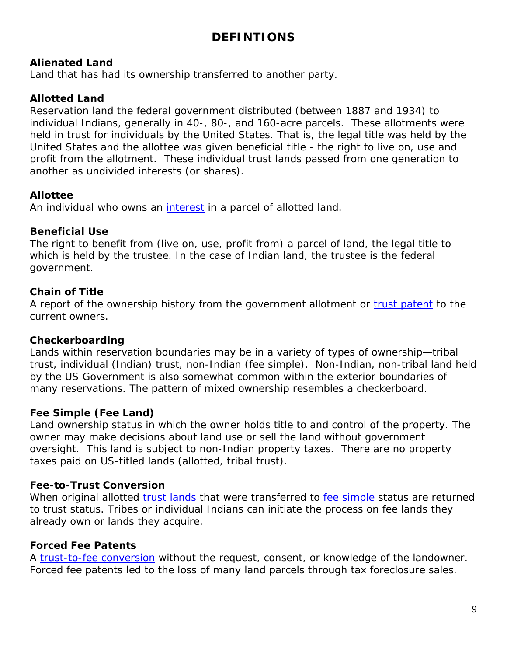# **DEFINTIONS**

#### **Alienated Land**

Land that has had its ownership transferred to another party.

### **Allotted Land**

Reservation land the federal government distributed (between 1887 and 1934) to individual Indians, generally in 40-, 80-, and 160-acre parcels. These allotments were held in trust for individuals by the United States. That is, the legal title was held by the United States and the allottee was given beneficial title - the right to live on, use and profit from the allotment. These individual trust lands passed from one generation to another as undivided interests (or shares).

#### **Allottee**

An individual who owns an [interest](http://www.iltf.org/glossary#90) in a parcel of allotted land.

#### **Beneficial Use**

The right to benefit from (live on, use, profit from) a parcel of land, the legal title to which is held by the trustee. In the case of Indian land, the trustee is the federal government.

#### **Chain of Title**

A report of the ownership history from the government allotment or [trust patent](http://www.iltf.org/glossary#88) to the current owners.

#### **Checkerboarding**

Lands within reservation boundaries may be in a variety of types of ownership—tribal trust, individual (Indian) trust, non-Indian (fee simple). Non-Indian, non-tribal land held by the US Government is also somewhat common within the exterior boundaries of many reservations. The pattern of mixed ownership resembles a checkerboard.

# **Fee Simple (Fee Land)**

Land ownership status in which the owner holds title to and control of the property. The owner may make decisions about land use or sell the land without government oversight. This land is subject to non-Indian property taxes. There are no property taxes paid on US-titled lands (allotted, tribal trust).

# **Fee-to-Trust Conversion**

When original allotted [trust lands](http://www.iltf.org/glossary#87) that were transferred to [fee simple](http://www.iltf.org/glossary#63) status are returned to trust status. Tribes or individual Indians can initiate the process on fee lands they already own or lands they acquire.

# **Forced Fee Patents**

A [trust-to-fee conversion](http://www.iltf.org/glossary#87) without the request, consent, or knowledge of the landowner. Forced fee patents led to the loss of many land parcels through tax foreclosure sales.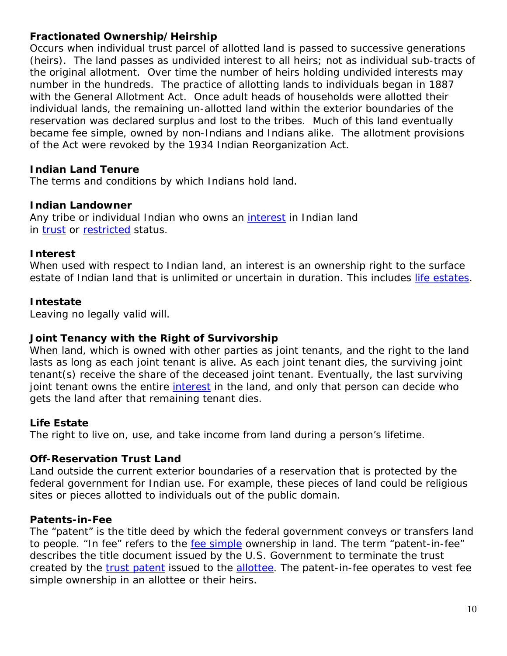### **Fractionated Ownership/Heirship**

Occurs when individual trust parcel of allotted land is passed to successive generations (heirs). The land passes as undivided interest to all heirs; not as individual sub-tracts of the original allotment. Over time the number of heirs holding undivided interests may number in the hundreds. The practice of allotting lands to individuals began in 1887 with the General Allotment Act. Once adult heads of households were allotted their individual lands, the remaining un-allotted land within the exterior boundaries of the reservation was declared surplus and lost to the tribes. Much of this land eventually became fee simple, owned by non-Indians and Indians alike. The allotment provisions of the Act were revoked by the 1934 Indian Reorganization Act.

#### **Indian Land Tenure**

The terms and conditions by which Indians hold land.

#### **Indian Landowner**

Any tribe or individual Indian who owns an *[interest](http://www.iltf.org/glossary#70)* in Indian land in [trust](http://www.iltf.org/glossary#87) or [restricted](http://www.iltf.org/glossary#79) status.

#### **Interest**

When used with respect to Indian land, an interest is an ownership right to the surface estate of Indian land that is unlimited or uncertain in duration. This includes [life estates.](http://www.iltf.org/glossary#74)

#### **Intestate**

Leaving no legally valid will.

#### **Joint Tenancy with the Right of Survivorship**

When land, which is owned with other parties as joint tenants, and the right to the land lasts as long as each joint tenant is alive. As each joint tenant dies, the surviving joint tenant(s) receive the share of the deceased joint tenant. Eventually, the last surviving joint tenant owns the entire *[interest](http://www.iltf.org/glossary#70)* in the land, and only that person can decide who gets the land after that remaining tenant dies.

#### **Life Estate**

The right to live on, use, and take income from land during a person's lifetime.

#### **Off-Reservation Trust Land**

Land outside the current exterior boundaries of a reservation that is protected by the federal government for Indian use. For example, these pieces of land could be religious sites or pieces allotted to individuals out of the public domain.

#### **Patents-in-Fee**

The "patent" is the title deed by which the federal government conveys or transfers land to people. "In fee" refers to the [fee simple](http://www.iltf.org/glossary#63) ownership in land. The term "patent-in-fee" describes the title document issued by the U.S. Government to terminate the trust created by the [trust patent](http://www.iltf.org/glossary#88) issued to the [allottee.](http://www.iltf.org/glossary#58) The patent-in-fee operates to vest fee simple ownership in an allottee or their heirs.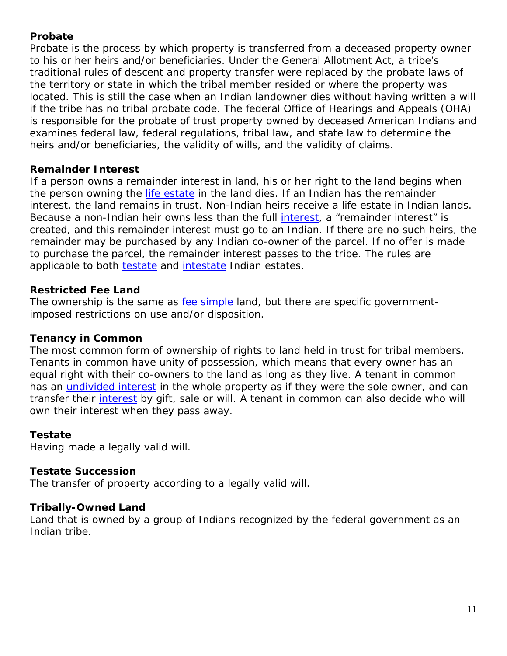# **Probate**

Probate is the process by which property is transferred from a deceased property owner to his or her heirs and/or beneficiaries. Under the General Allotment Act, a tribe's traditional rules of descent and property transfer were replaced by the probate laws of the territory or state in which the tribal member resided or where the property was located. This is still the case when an Indian landowner dies without having written a will if the tribe has no tribal probate code. The federal Office of Hearings and Appeals (OHA) is responsible for the probate of trust property owned by deceased American Indians and examines federal law, federal regulations, tribal law, and state law to determine the heirs and/or beneficiaries, the validity of wills, and the validity of claims.

# **Remainder Interest**

If a person owns a remainder interest in land, his or her right to the land begins when the person owning the [life estate](http://www.iltf.org/glossary#74) in the land dies. If an Indian has the remainder interest, the land remains in trust. Non-Indian heirs receive a life estate in Indian lands. Because a non-Indian heir owns less than the full [interest,](http://www.iltf.org/glossary#70) a "remainder interest" is created, and this remainder interest must go to an Indian. If there are no such heirs, the remainder may be purchased by any Indian co-owner of the parcel. If no offer is made to purchase the parcel, the remainder interest passes to the tribe. The rules are applicable to both [testate](http://www.iltf.org/glossary#83) and [intestate](http://www.iltf.org/glossary#71) Indian estates.

#### **Restricted Fee Land**

The ownership is the same as [fee simple](http://www.iltf.org/glossary#63) land, but there are specific governmentimposed restrictions on use and/or disposition.

# **Tenancy in Common**

The most common form of ownership of rights to land held in trust for tribal members. Tenants in common have unity of possession, which means that every owner has an equal right with their co-owners to the land as long as they live. A tenant in common has an *[undivided interest](http://www.iltf.org/glossary#90)* in the whole property as if they were the sole owner, and can transfer their [interest](http://www.iltf.org/glossary#70) by gift, sale or will. A tenant in common can also decide who will own their interest when they pass away.

# **Testate**

Having made a legally valid will.

#### **Testate Succession**

The transfer of property according to a legally valid will.

#### **Tribally-Owned Land**

Land that is owned by a group of Indians recognized by the federal government as an Indian tribe.